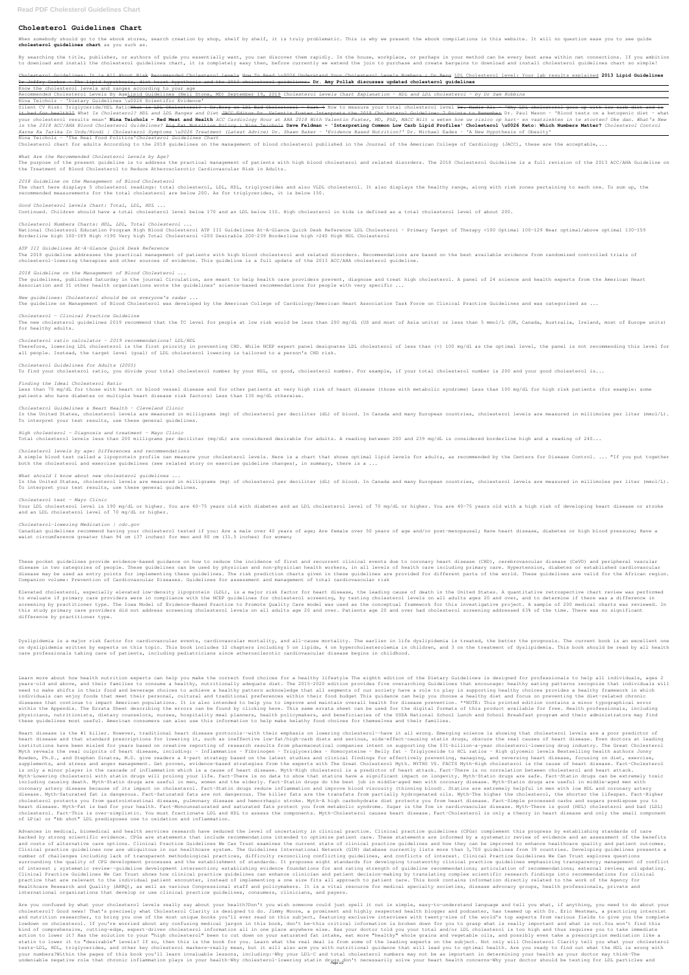# **Cholesterol Guidelines Chart**

By searching the title, publisher, or authors of guide you essentially want, you can discover them rapidly. In the house, workplace, or perhaps in your method can be every best area within net connections. If you ambition to download and install the cholesterol guidelines chart, it is completely easy then, before currently we extend the join to purchase and create bargains to download and install cholesterol guidelines chart so simple!

When somebody should go to the ebook stores, search creation by shop, shelf by shelf, it is truly problematic. This is why we present the ebook compilations in this website. It will no question ease you to see guide **cholesterol guidelines chart** as you such as.

Cholesterol Guidelines: It is All About Risk Recommended Cholesterol Levels How To Read \u0026 Understand Your Cholesterol Levels Numbers | Dr.Berg LDL Cholesterol level: Your lab results explained 2013 Lipid Guidelines Dr Jeffry Gerber - The lipid hypothesis, diet heart hypothesis and the 2013 cholesterol guidelines. **Dr. Amy Pollak discusses updated cholesterol guidelines**

Know the cholesterol levels and ranges according to your age

Silent CV Risk: Triglyceride/HDL Ratio<del>What is LDL Cholesterol? | Dr.Berg on LDL Bad Cholesterol - Part 4</del> How to measure your total cholesterol level <del>Dr. Nadir Ali - 'Why LDL cholesterol goes up with low carb diet and is</del> it bad for health?<sup>1</sup> What Is Cholesterol? HDL and LDL Ranges and Diet JACC Editor Dr. Valentin Fuster Interprets the 2018 Cholesterol Guideline: 7 Points to Remember Dr. Paul Mason - 'Blood tests on a ketogenic diet - wha your cholesterol results mean' Nina Teicholz - Red Meat and Health ACC Cardiology Hour at AHA 2018 With Valentin Fuster, MD, PhD, MACC Wilt u weten hoe uw risico op hart- en vaatziekten in te storten? Oke dan. What's New in the 2018 ACC/AHA Blood Cholesterol Guidelines? <del>Big Fat Nutrition Policy | Nina Teicholz</del> Dave Feldman - 'Interpreting Common Low Carb Lipid Profiles' Cholesterol \u0026 Keto: Which Numbers Matter? Cholesterol Control *Karne Ka Tarika In Urdu/Hindi | Cholesterol Symptoms \u0026 Treatment (Latest Advice) Dr. Shawn Baker - 'Evidence Based Nutrition?'* Dr. Michael Eades - 'A New Hypothesis of Obesity'

Recommended Cholesterol Levels By AgeLipid Guidelines (Neil Stone, MD) September 19, 2019 *Cholesterol Levels Chart Explanation - HDL and LDL cholesterol - by Dr Sam Robbins*

Nina Teicholz - 'Dietary Guidelines \u0026 Scientific Evidence'

The chart here displays 5 cholesterol readings: total cholesterol, LDL, HDL, triglycerides and also VLDL cholesterol. It also displays the healthy range, along with risk zones pertaining to each one. To sum up, the recommended measurements for the total cholesterol are below 200. As for triglycerides, it is below 150.

Nina Teicholz - 'The Real Food Politics'*Cholesterol Guidelines Chart*

Cholesterol chart for adults According to the 2018 guidelines on the management of blood cholesterol published in the Journal of the American College of Cardiology (JACC), these are the acceptable, ...

The new cholesterol quidelines 2019 recommend that the TC level for people at low risk would be less than 200 mg/dL (US and most of most/L (UK, Canada, Australia, Ireland, most of Europe units) for healthy adults.

*What Are the Recommended Cholesterol Levels by Age?*

The purpose of the present guideline is to address the practical management of patients with high blood cholesterol and related disorders. The 2018 Cholesterol Guideline is a full revision of the 2013 ACC/AHA Guideline on the Treatment of Blood Cholesterol to Reduce Atherosclerotic Cardiovascular Risk in Adults.

# *2018 Guideline on the Management of Blood Cholesterol*

Less than 70 mg/dL for those with heart or blood vessel disease and for other patients at very high risk of heart disease (those with metabolic syndrome) Less than 100 mg/dL for high risk patients (for example: some patients who have diabetes or multiple heart disease risk factors) Less than 130 mg/dL otherwise.

*Good Cholesterol Levels Chart: Total, LDL, HDL ...*

Continued. Children should have a total cholesterol level below 170 and an LDL below 110. High cholesterol in kids is defined as a total cholesterol level of about 200.

*Cholesterol Numbers Charts: HDL, LDL, Total Cholesterol ...*

National Cholesterol Education Program High Blood Cholesterol ATP III Guidelines At-A-Glance Quick Desk Reference LDL Cholesterol – Primary Target of Therapy <100 Optimal 100-129 Near optimal/above optimal 130-159 Borderline high 160-189 High >190 Very high Total Cholesterol <200 Desirable 200-239 Borderline high >240 High HDL Cholesterol

Your LDL cholesterol level is 190 mg/dL or higher. You are 40-75 years old with diabetes and an LDL cholesterol level of 70 mg/dL or higher. You are 40-75 years old with a high risk of developing heart disease or stroke and an LDL cholesterol level of 70 mg/dL or higher.

Canadian guidelines recommend having your cholesterol tested if you: Are a male over 40 years of age; Are female over 50 years of age and/or post-menopausal; Have heart disease, diabetes or high blood pressure; Have a waist circumference greater than 94 cm (37 inches) for men and 80 cm (31.5 inches) for women;

# *ATP III Guidelines At-A-Glance Quick Desk Reference*

The 2018 guideline addresses the practical management of patients with high blood cholesterol and related disorders. Recommendations are based on the best available evidence from randomized controlled trials of cholesterol-lowering therapies and other sources of evidence. This guideline is a full update of the 2013 ACC/AHA cholesterol guideline.

# *2018 Guideline on the Management of Blood Cholesterol ...*

The guidelines, published Saturday in the journal Circulation, are meant to help health care providers prevent, diagnose and treat high cholesterol. A panel of 24 science and health experts from the American Heart Association and 11 other health organizations wrote the guidelines' science-based recommendations for people with very specific ...

# *New guidelines: Cholesterol should be on everyone's radar ...*

The guideline on Management of Blood Cholesterol was developed by the American College of Cardiology/American Heart Association Task Force on Clinical Practice Guidelines and was categorized as ...

# *Cholesterol - Clinical Practice Guideline*

Dyslipidemia is a major risk factor for cardiovascular events, cardiovascular mortality, and all-cause mortality. The earlier in life dyslipidemia is treated, the better the prognosis. The current book is an excellent one on dyslipidemia written by experts on this topic. This book includes 12 chapters including 5 on lipids, 4 on hypercholesterolemia in children, and 3 on the treatment of dyslipidemia. This book should be read by all health care professionals taking care of patients, including pediatricians since atherosclerotic cardiovascular disease begins in childhood.

# *Cholesterol ratio calculator - 2019 recommendations! LDL/HDL*

Therefore, lowering LDL cholesterol is the first priority in preventing CHD. While NCEP expert panel designates LDL cholesterol of less than (<) 100 mg/dl as the optimal level, the panel is not recommending this level for all people. Instead, the target level (goal) of LDL cholesterol lowering is tailored to a person's CHD risk.

#### *Cholesterol Guidelines for Adults (2001)*

To find your cholesterol ratio, you divide your total cholesterol number by your HDL, or good, cholesterol number, if your total cholesterol number is 200 and your good cholesterol is...

#### *Finding the Ideal Cholesterol Ratio*

## *Cholesterol Guidelines & Heart Health - Cleveland Clinic*

In the United States, cholesterol levels are measured in milligrams (mg) of cholesterol per deciliter (dL) of blood. In Canada and many European countries, cholesterol levels are measured in millimoles per liter (mmol/L). To interpret your test results, use these general guidelines.

# *High cholesterol - Diagnosis and treatment - Mayo Clinic*

Total cholesterol levels less than 200 milligrams per deciliter (mg/dL) are considered desirable for adults. A reading between 200 and 239 mg/dL is considered borderline high and a reading of 240...

# *Cholesterol levels by age: Differences and recommendations*

A simple blood test called a lipoprotein profile can measure your cholesterol levels. Here is a chart that shows optimal lipid levels for adults, as recommended by the Centers for Disease Control. ... "If you put together both the cholesterol and exercise guidelines (see related story on exercise guideline changes), in summary, there is a ...

## *What should I know about new cholesterol guidelines ...*

In the United States, cholesterol levels are measured in milligrams (mg) of cholesterol per deciliter (dL) of blood. In Canada and many European countries, cholesterol levels are measured in millimoles per liter (mmol/L). To interpret your test results, use these general guidelines.

heart disease and that standard prescriptions for lowering it, such as ineffective low-fat/high-carb diets and serious, side-effect-causing statin drugs, obscure the real causes of heart disease. Even doctors at leading institutions have been misled for years based on creative reporting of research results from pharmaceutical companies intent on supporting the \$31-billion-a-year cholesterol-lowering drug industry. The Great Cholesterol Myth reveals the real culprits of heart disease, including: - Inflammation - Fibrinogen - Triglycerides - Homocysteine - Belly fat - Triglyceride to HCL ratios - High glycemic levels Bestselling health authors Jonny Bowden, Ph.D., and Stephen Sinatra, M.D. give readers a 4-part strategy based on the latest studies and clinical findings for effectively preventing, managing, and reversing heart disease, focusing on diet, exercise, supplements, and stress and anger management. Get proven, evidence-based strategies from the experts with The Great Cholesterol Myth. MYTHS VS. FACTS Myth-High cholesterol is the cause of heart disease. Fact-Cholesterol is only a minor player in the cascade of inflammation which is a cause of heart disease. Myth-High cholesterol is a predictor of heart attack. Fact-There is no correlation between cholesterol and heart attack. Myth–Lowering cholesterol with statin drugs will prolong your life. Fact–There is no data to show that statins have a significant impact on longevity. Myth–Statin drugs are safe. Fact–Statin drugs can be extremely toxic including causing death. Myth-Statin drugs are useful in men, women and the elderly. Fact-Statin drugs do the best job in middle-aged men with coronary disease. Myth-Statin drugs are useful in middle-aged men with coronary artery disease because of its impact on cholesterol. Fact–Statin drugs reduce inflammation and improve blood viscosity (thinning blood). Statins are extremely helpful in men with low HDL and coronary artery disease. Myth-Saturated fat is dangerous. Fact-Saturated fats are not dangerous. The killer fats are the transfats from partially hydrogenated oils. Myth-The higher the cholesterol, the shorter the lifespan. Fact-Higher cholesterol protects you from gastrointestinal disease, pulmonary disease and hemorrhagic stroke. Myth–A high carbohydrate diet protects you from heart disease. Fact–Simple processed carbs and sugars predispose you to heart disease. Myth-Fat is bad for your health. Fact-Monounsaturated and saturated fats protect you from metabolic syndrome. Sugar is the foe in cardiovascular disease. Myth-There is good (HDL) cholesterol and bad (LDL) cholesterol. Fact–This is over-simplistic. You must fractionate LDL and HDL to assess the components. Myth–Cholesterol causes heart disease. Fact–Cholesterol is only a theory in heart disease and only the small component of LP(a) or "bb shot" LDL predisposes one to oxidation and inflammation.

## *Cholesterol test - Mayo Clinic*

## *Cholesterol-lowering Medication | cdc.gov*

These pocket guidelines provide evidence-based guidance on how to reduce the incidence of first and recurrent clinical events due to coronary heart disease (CHD), cerebrovascular disease (CeVD) and peripheral vascular disease in two categories of people. These guidelines can be used by physician and non-physician health workers, in all levels of health care including primary care. Hypertension, diabetes or established cardiovascular disease may be used as entry points for implementing these guidelines. The risk prediction charts given in these guidelines are provided for different parts of the world. These guidelines are valid for the African region. Companion volume: Prevention of Cardiovascular Diseases. Guidelines for assessment and management of total cardiovascular risk

Are you confused by what your cholesterol levels really say about your health?Don't you wish someone could just spell it out in simple, easy-to-understand language and tell you what, if anything, you need to do about your cholesterol? Good news! That's precisely what Cholesterol Clarity is designed to do. Jimmy Moore, a prominent and highly respected health blogger and podcaster, has teamed up with Dr. Eric Westman, a practicing internist and nutrition researcher, to bring you one of the most unique books you'll ever read on this subject, featuring exclusive interviews with twenty-nine of the world's top experts from various fields to give you the complete lowdown on cholesterol. If you're worried about any confusing medical jargon in this book, don't be-this critical information is broken down for you to grasp what is really important and what is not.You won't find this kind of comprehensive, cutting-edge, expert-driven cholesterol information all in one place anywhere else. Has your doctor told you your total and/or LDL cholesterol is too high and thus requires you to take immediate action to lower it? Has the solution to your "high cholesterol" been to cut down on your saturated fat intake, eat more "healthy" whole grains and vegetable oils, and possibly even take a prescription medication like a statin to lower it to "desirable" levels? If so, then this is the book for you. Learn what the real deal is from some of the leading experts on the subject. Not only will Cholesterol Clarity tell you what your cholesterol tests-LDL, HDL, triglycerides, and other key cholesterol markers-really mean, but it will also arm you with nutritional guidance that will lead you to optimal health. Are you ready to find out what the HDL is wrong with your numbers?Within the pages of this book you'll learn invaluable lessons, including:-Why your LDL-C and total cholesterol numbers may not be as important in determining your health as your doctor may think-The undeniable negative role that chronic inflammation plays in your health-Why cholesterol-lowering statin drugs don't necessarily solve your heart health concerns-Why your doctor should be testing for LDL particles and

Elevated cholesterol, especially elevated low-density lipoprotein (LDL), is a major risk factor for heart disease, the leading cause of death in the United States. A quantitative retrospective chart review was performed to evaluate if primary care providers were in compliance with the NCEP guidelines for cholesterol screening, by testing cholesterol levels on all adults ages 20 and over, and to determine if there was a difference in screening by practitioner type. The Iowa Model of Evidence-Based Practice to Promote Quality Care model was used as the conceptual framework for this investigative project. A sample of 200 medical charts was reviewed. In this study primary care providers did not address screening cholesterol levels on all adults age 20 and over. Patients age 20 and over had cholesterol screening addressed 63% of the time. There was no significant difference by practitioner type.

Learn more about how health nutrition experts can help you make the correct food choices for a healthy lifestyle The eighth edition of the Dietary Guidelines is designed for professionals to help all individuals, ages 2 years-old and above, and their families to consume a healthy, nutritionally adequate diet. The 2015-2020 edition provides five overarching Guidelines that encourage: healthy eating patterns recognize that individuals will need to make shifts in their food and beverage choices to achieve a healthy pattern acknowledge that all segments of our society have a role to play in supporting healthy choices provides a healthy framework in which individuals can enjoy foods that meet their personal, cultural and traditional preferences within their food budget This guidance can help you choose a healthy diet and focus on preventing the diet-related chronic diseases that continue to impact American populations. It is also intended to help you to improve and maintain overall health for disease prevention. \*\*NOTE: This printed edition contains a minor typographical error within the Appendix. The Errata Sheet describing the errors can be found by clicking here. This same errata sheet can be used for the digital formats of this product available for free. Health professionals, including physicians, nutritionists, dietary counselors, nurses, hospitality meal planners, health policymakers, and beneficiaries of the USDA National School Lunch and School Breakfast program and their administrators may find these guidelines most useful. American consumers can also use this information to help make helathy food choices for themselves and their families.

Heart disease is the #1 killer. However, traditional heart disease protocols--with their emphasis on lowering cholesterol--have it all wrong. Emerging science is showing that cholesterol levels are a poor predictor of

Advances in medical, biomedical and health services research have reduced the level of uncertainty in clinical practice. Clinical practice guidelines (CPGs) complement this progress by establishing standards of care backed by strong scientific evidence. CPGs are statements that include recommendations intended to optimize patient care. These statements are informed by a systematic review of evidence and an assessment of the benefits and costs of alternative care options. Clinical Practice Guidelines We Can Trust examines the current state of clinical practice guidelines and how they can be improved to enhance healthcare quality and patient outcomes. Clinical practice guidelines now are ubiquitous in our healthcare system. The Guidelines International Network (GIN) database currently lists more than 3,700 guidelines from 39 countries. Developing guidelines presents a number of challenges including lack of transparent methodological practices, difficulty reconciling conflicting guidelines, and conflicts of interest. Clinical Practice Guidelines We Can Trust explores questions surrounding the quality of CPG development processes and the establishment of standards. It proposes eight standards for developing trustworthy clinical practice guidelines emphasizing transparency; management of conflict of interest ; systematic review--guideline development intersection; establishing evidence foundations for and rating strength of guideline recommendations; articulation of recommendations; external review; and updating. Clinical Practice Guidelines We Can Trust shows how clinical practice guidelines can enhance clinician and patient decision-making by translating complex scientific research findings into recommendations for clinical practice that are relevant to the individual patient encounter, instead of implementing a one size fits all approach to patient care. This book contains information directly related to the work of the Agency for Healthcare Research and Quality (AHRQ), as well as various Congressional staff and policymakers. It is a vital resource for medical specialty societies, disease advocacy groups, health professionals, private and international organizations that develop or use clinical practice guidelines, consumers, clinicians, and payers.